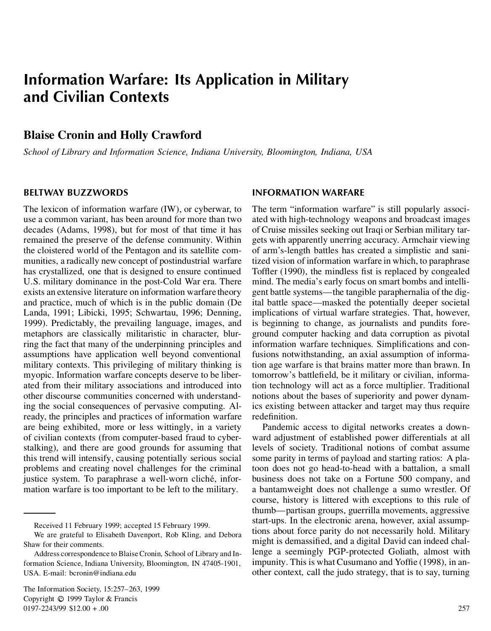# **Information Warfare: Its Application in Military and Civilian Contexts**

# **Blaise Cronin and Holly Crawford**

*School of Library and Information Science, Indiana University, Bloomington, Indiana, USA*

#### **BELTWAY BUZZWORDS**

The lexicon of information warfare (IW), or cyberwar, to use a common variant, has been around for more than two decades (Adams, 1998), but for most of that time it has remained the preserve of the defense community. Within the cloistered world of the Pentagon and its satellite communities, a radically new concept of postindustrial warfare has crystallized, one that is designed to ensure continued U.S. military dominance in the post-Cold War era. There exists an extensive literature on information warfare theory and practice, much of which is in the public domain (De Landa, 1991; Libicki, 1995; Schwartau, 1996; Denning, 1999). Predictably, the prevailing language, images, and metaphors are classically militaristic in character, blurring the fact that many of the underpinning principles and assumptions have application well beyond conventional military contexts. This privileging of military thinking is myopic. Information warfare concepts deserve to be liberated from their military associations and introduced into other discourse communities concerned with understanding the social consequences of pervasive computing. Already, the principles and practices of information warfare are being exhibited, more or less wittingly, in a variety of civilian contexts (from computer-based fraud to cyberstalking), and there are good grounds for assuming that this trend will intensify, causing potentially serious social problems and creating novel challenges for the criminal justice system. To paraphrase a well-worn cliché, information warfare is too important to be left to the military.

## **INFORMATION WARFARE**

The term "information warfare" is still popularly associated with high-technology weapons and broadcast images of Cruise missiles seeking out Iraqi or Serbian military targets with apparently unerring accuracy. Armchair viewing of arm's-length battles has created a simplistic and sanitized vision of information warfare in which, to paraphrase Toffler (1990), the mindless fist is replaced by congealed mind. The media's early focus on smart bombs and intelligent battle systems—the tangible paraphernalia of the digital battle space—masked the potentially deeper societal implications of virtual warfare strategies. That, however, is beginning to change, as journalists and pundits foreground computer hacking and data corruption as pivotal information warfare techniques. Simplifications and confusions notwithstanding, an axial assumption of information age warfare is that brains matter more than brawn. In tomorrow's battle field, be it military or civilian, information technology will act as a force multiplier. Traditional notions about the bases of superiority and power dynamics existing between attacker and target may thus require redefinition.

Pandemic access to digital networks creates a downward adjustment of established power differentials at all levels of society. Traditional notions of combat assume some parity in terms of payload and starting ratios: A platoon does not go head-to-head with a battalion, a small business does not take on a Fortune 500 company, and a bantamweight does not challenge a sumo wrestler. Of course, history is littered with exceptions to this rule of thumb—partisan groups, guerrilla movements, aggressive start-ups. In the electronic arena, however, axial assumptions about force parity do not necessarily hold. Military might is demassified, and a digital David can indeed challenge a seemingly PGP-protected Goliath, almost with impunity. This is what Cusumano and Yoffie (1998), in another context, call the judo strategy, that is to say, turning

Received 11 February 1999; accepted 15 February 1999.

We are grateful to Elisabeth Davenport, Rob Kling, and Debora Shaw for their comments.

Address correspondence to BlaiseCronin, School of Library and Information Science, Indiana University, Bloomington, IN 47405-1901, USA. E-mail: bcronin@indiana.edu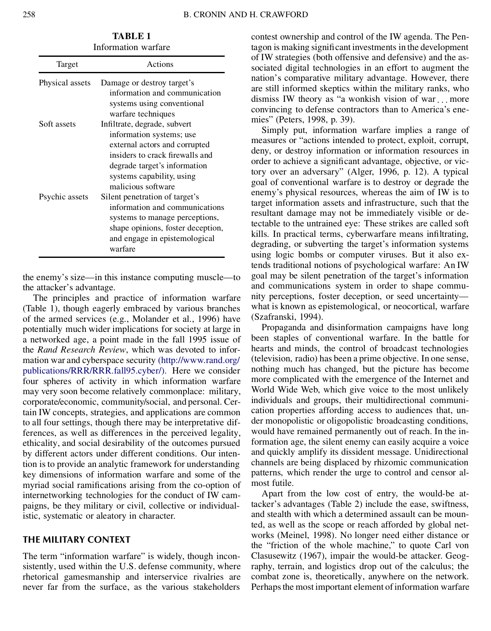| Target          | Actions                           |
|-----------------|-----------------------------------|
| Physical assets | Damage or destroy target's        |
|                 | information and communication     |
|                 | systems using conventional        |
|                 | warfare techniques                |
| Soft assets     | Infiltrate, degrade, subvert      |
|                 | information systems; use          |
|                 | external actors and corrupted     |
|                 | insiders to crack firewalls and   |
|                 | degrade target's information      |
|                 | systems capability, using         |
|                 | malicious software                |
| Psychic assets  | Silent penetration of target's    |
|                 | information and communications    |
|                 | systems to manage perceptions,    |
|                 | shape opinions, foster deception, |
|                 | and engage in epistemological     |
|                 | warfare                           |

**TABLE 1** Information warfare

the enemy's size—in this instance computing muscle—to the attacker's advantage.

The principles and practice of information warfare (Table 1), though eagerly embraced by various branches of the armed services (e.g., Molander et al., 1996) have potentially much wider implications for society at large in a networked age, a point made in the fall 1995 issue of the *Rand Research Review*, which was devoted to information war and cyberspace security [\(http://www.rand.org/](http://www.rand.org/publications/RRR/RRR.fall95.cyber/) [publications/RRR/RRR.fall95.cyber/\).](http://www.rand.org/publications/RRR/RRR.fall95.cyber/) Here we consider four spheres of activity in which information warfare may very soon become relatively commonplace: military, corporate/economic, community/social, and personal. Certain IW concepts, strategies, and applications are common to all four settings, though there may be interpretative differences, as well as differences in the perceived legality, ethicality, and social desirability of the outcomes pursued by different actors under different conditions. Our intention is to provide an analytic framework for understanding key dimensions of information warfare and some of the myriad social ramifications arising from the co-option of internetworking technologies for the conduct of IW campaigns, be they military or civil, collective or individualistic, systematic or aleatory in character.

# **THE MILITARY CONTEXT**

The term "information warfare" is widely, though inconsistently, used within the U.S. defense community, where rhetorical gamesmanship and interservice rivalries are never far from the surface, as the various stakeholders

contest ownership and control of the IW agenda. The Pentagon is making significant investments in the development of IW strategies (both offensive and defensive) and the associated digital technologies in an effort to augment the nation's comparative military advantage. However, there are still informed skeptics within the military ranks, who dismiss IW theory as "a wonkish vision of war. . . more convincing to defense contractors than to America's enemies" (Peters, 1998, p. 39).

Simply put, information warfare implies a range of measures or "actions intended to protect, exploit, corrupt, deny, or destroy information or information resources in order to achieve a significant advantage, objective, or victory over an adversary" (Alger, 1996, p. 12). A typical goal of conventional warfare is to destroy or degrade the enemy's physical resources, whereas the aim of IW is to target information assets and infrastructure, such that the resultant damage may not be immediately visible or detectable to the untrained eye: These strikes are called soft kills. In practical terms, cyberwarfare means infiltrating, degrading, or subverting the target's information systems using logic bombs or computer viruses. But it also extends traditional notions of psychological warfare: An IW goal may be silent penetration of the target's information and communications system in order to shape community perceptions, foster deception, or seed uncertainty what is known as epistemological, or neocortical, warfare (Szafranski, 1994).

Propaganda and disinformation campaigns have long been staples of conventional warfare. In the battle for hearts and minds, the control of broadcast technologies (television, radio) has been a prime objective. In one sense, nothing much has changed, but the picture has become more complicated with the emergence of the Internet and World Wide Web, which give voice to the most unlikely individuals and groups, their multidirectional communication properties affording access to audiences that, under monopolistic or oligopolistic broadcasting conditions, would have remained permanently out of reach. In the information age, the silent enemy can easily acquire a voice and quickly amplify its dissident message. Unidirectional channels are being displaced by rhizomic communication patterns, which render the urge to control and censor almost futile.

Apart from the low cost of entry, the would-be attacker's advantages (Table 2) include the ease, swiftness, and stealth with which a determined assault can be mounted, as well as the scope or reach afforded by global networks (Meinel, 1998). No longer need either distance or the "friction of the whole machine," to quote Carl von Clasusewitz (1967), impair the would-be attacker. Geography, terrain, and logistics drop out of the calculus; the combat zone is, theoretically, anywhere on the network. Perhaps the most important element of information warfare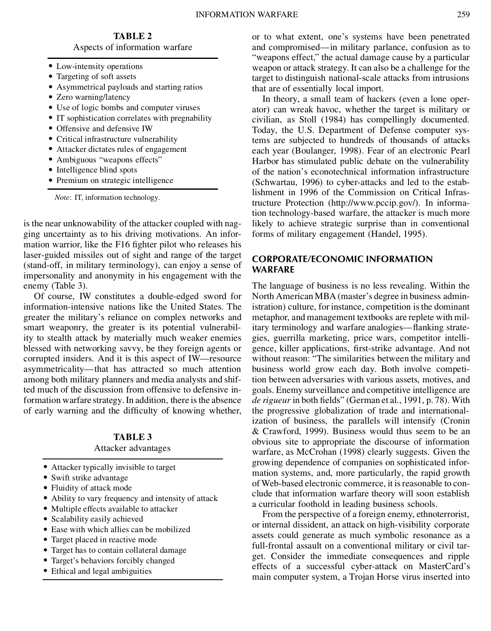# **TABLE 2** Aspects of information warfare

- Low-intensity operations
- Targeting of soft assets
- Asymmetrical payloads and starting ratios
- Zero warning/latency
- Use of logic bombs and computer viruses
- IT sophistication correlates with pregnability
- Offensive and defensive IW
- Critical infrastructure vulnerability
- Attacker dictates rules of engagement
- Ambiguous "weapons effects"
- Intelligence blind spots
- Premium on strategic intelligence

*Note*: IT, information technology.

is the near unknowability of the attacker coupled with nagging uncertainty as to his driving motivations. An information warrior, like the F16 fighter pilot who releases his laser-guided missiles out of sight and range of the target (stand-off, in military terminology), can enjoy a sense of impersonality and anonymity in his engagement with the enemy (Table 3).

Of course, IW constitutes a double-edged sword for information-intensive nations like the United States. The greater the military's reliance on complex networks and smart weaponry, the greater is its potential vulnerability to stealth attack by materially much weaker enemies blessed with networking savvy, be they foreign agents or corrupted insiders. And it is this aspect of IW—resource asymmetricality—that has attracted so much attention among both military planners and media analysts and shifted much of the discussion from offensive to defensive information warfare strategy. In addition, there is the absence of early warning and the difficulty of knowing whether,

## **TABLE 3** Attacker advantages

- Attacker typically invisible to target
- Swift strike advantage
- Fluidity of attack mode
- Ability to vary frequency and intensity of attack
- Multiple effects available to attacker
- Scalability easily achieved
- Ease with which allies can be mobilized
- Target placed in reactive mode
- Target has to contain collateral damage
- Target's behaviors forcibly changed
- Ethical and legal ambiguities

or to what extent, one's systems have been penetrated and compromised—in military parlance, confusion as to "weapons effect," the actual damage cause by a particular weapon or attack strategy. It can also be a challenge for the target to distinguish national-scale attacks from intrusions that are of essentially local import.

In theory, a small team of hackers (even a lone operator) can wreak havoc, whether the target is military or civilian, as Stoll (1984) has compellingly documented. Today, the U.S. Department of Defense computer systems are subjected to hundreds of thousands of attacks each year (Boulanger, 1998). Fear of an electronic Pearl Harbor has stimulated public debate on the vulnerability of the nation's econotechnical information infrastructure (Schwartau, 1996) to cyber-attacks and led to the establishment in 1996 of the Commission on Critical Infrastructure Protection (http://www.pccip.gov/). In information technology-based warfare, the attacker is much more likely to achieve strategic surprise than in conventional forms of military engagement (Handel, 1995).

# **CORPORATE/ECONOMIC INFORMATION WARFARE**

The language of business is no less revealing. Within the North American MBA (master's degree in business administration) culture, for instance, competition is the dominant metaphor, and management textbooks are replete with military terminology and warfare analogies—flanking strategies, guerrilla marketing, price wars, competitor intelligence, killer applications, first-strike advantage. And not without reason: "The similarities between the military and business world grow each day. Both involve competition between adversaries with various assets, motives, and goals. Enemy surveillance and competitive intelligence are *de rigueur* in both fields" (German et al., 1991, p. 78). With the progressive globalization of trade and internationalization of business, the parallels will intensify (Cronin & Crawford, 1999). Business would thus seem to be an obvious site to appropriate the discourse of information warfare, as McCrohan (1998) clearly suggests. Given the growing dependence of companies on sophisticated information systems, and, more particularly, the rapid growth of Web-based electronic commerce, it isreasonable to conclude that information warfare theory will soon establish a curricular foothold in leading business schools.

From the perspective of a foreign enemy, ethnoterrorist, or internal dissident, an attack on high-visibility corporate assets could generate as much symbolic resonance as a full-frontal assault on a conventional military or civil target. Consider the immediate consequences and ripple effects of a successful cyber-attack on MasterCard's main computer system, a Trojan Horse virus inserted into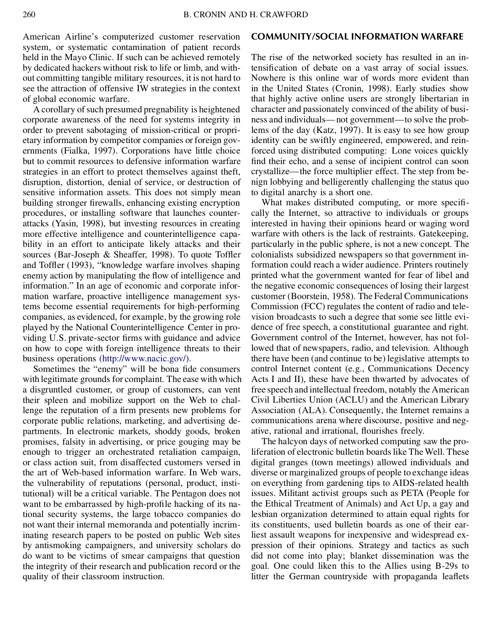260 B. CRONIN AND H. CRAWFORD

American Airline's computerized customer reservation system, or systematic contamination of patient records held in the Mayo Clinic. If such can be achieved remotely by dedicated hackers without risk to life or limb, and without committing tangible military resources, it is not hard to see the attraction of offensive IW strategies in the context of global economic warfare.

A corollary of such presumed pregnability is heightened corporate awareness of the need for systems integrity in order to prevent sabotaging of mission-critical or proprietary information by competitor companies or foreign governments (Fialka, 1997). Corporations have little choice but to commit resources to defensive information warfare strategies in an effort to protect themselves against theft, disruption, distortion, denial of service, or destruction of sensitive information assets. This does not simply mean building stronger firewalls, enhancing existing encryption procedures, or installing software that launches counterattacks (Yasin, 1998), but investing resources in creating more effective intelligence and counterintelligence capability in an effort to anticipate likely attacks and their sources (Bar-Joseph  $&$  Sheaffer, 1998). To quote Toffler and Toffler (1993), "knowledge warfare involves shaping enemy action by manipulating the flow of intelligence and information." In an age of economic and corporate information warfare, proactive intelligence management systems become essential requirements for high-performing companies, as evidenced, for example, by the growing role played by the National Counterintelligence Center in providing U.S. private-sector firms with guidance and advice on how to cope with foreign intelligence threats to their business operations [\(http://www.nacic.gov/\).](http://www.nacic.gov/)

Sometimes the "enemy" will be bona fide consumers with legitimate grounds for complaint. The ease with which a disgruntled customer, or group of customers, can vent their spleen and mobilize support on the Web to challenge the reputation of a firm presents new problems for corporate public relations, marketing, and advertising departments. In electronic markets, shoddy goods, broken promises, falsity in advertising, or price gouging may be enough to trigger an orchestrated retaliation campaign, or class action suit, from disaffected customers versed in the art of Web-based information warfare. In Web wars, the vulnerability of reputations (personal, product, institutional) will be a critical variable. The Pentagon does not want to be embarrassed by high-profile hacking of its national security systems, the large tobacco companies do not want their internal memoranda and potentially incriminating research papers to be posted on public Web sites by antismoking campaigners, and university scholars do do want to be victims of smear campaigns that question the integrity of their research and publication record or the quality of their classroom instruction.

#### **COMMUNITY/SOCIAL INFORMATION WARFARE**

The rise of the networked society has resulted in an intensification of debate on a vast array of social issues. Nowhere is this online war of words more evident than in the United States (Cronin, 1998). Early studies show that highly active online users are strongly libertarian in character and passionately convinced of the ability of business and individuals—not government—to solve the problems of the day (Katz, 1997). It is easy to see how group identity can be swiftly engineered, empowered, and reinforced using distributed computing: Lone voices quickly find their echo, and a sense of incipient control can soon crystallize—the force multiplier effect. The step from benign lobbying and belligerently challenging the status quo to digital anarchy is a short one.

What makes distributed computing, or more specifically the Internet, so attractive to individuals or groups interested in having their opinions heard or waging word warfare with others is the lack of restraints. Gatekeeping, particularly in the public sphere, is not a new concept. The colonialists subsidized newspapers so that government information could reach a wider audience. Printers routinely printed what the government wanted for fear of libel and the negative economic consequences of losing their largest customer (Boorstein, 1958). The Federal Communications Commission (FCC) regulates the content of radio and television broadcasts to such a degree that some see little evidence of free speech, a constitutional guarantee and right. Government control of the Internet, however, has not followed that of newspapers, radio, and television. Although there have been (and continue to be) legislative attempts to control Internet content (e.g., Communications Decency Acts I and II), these have been thwarted by advocates of free speech and intellectual freedom, notably the American Civil Liberties Union (ACLU) and the American Library Association (ALA). Consequently, the Internet remains a communications arena where discourse, positive and negative, rational and irrational, flourishes freely.

The halcyon days of networked computing saw the proliferation of electronic bulletin boards like The Well. These digital granges (town meetings) allowed individuals and diverse or marginalized groups of people to exchange ideas on everything from gardening tips to AIDS-related health issues. Militant activist groups such as PETA (People for the Ethical Treatment of Animals) and Act Up, a gay and lesbian organization determined to attain equal rights for its constituents, used bulletin boards as one of their earliest assault weapons for inexpensive and widespread expression of their opinions. Strategy and tactics as such did not come into play; blanket dissemination was the goal. One could liken this to the Allies using B-29s to litter the German countryside with propaganda leaflets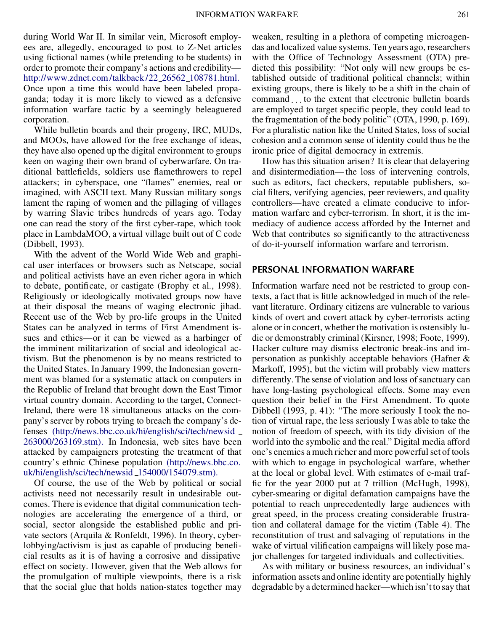during World War II. In similar vein, Microsoft employees are, allegedly, encouraged to post to Z-Net articles using fictional names (while pretending to be students) in order to promote their company's actions and credibility [http://www.zdnet.com/talkback](http://www.zdnet.com/talkback/22_26562_108781.html) /22 26562 108781.html. Once upon a time this would have been labeled propaganda; today it is more likely to viewed as a defensive information warfare tactic by a seemingly beleaguered corporation.

While bulletin boards and their progeny, IRC, MUDs, and MOOs, have allowed for the free exchange of ideas, they have also opened up the digital environment to groups keen on waging their own brand of cyberwarfare. On traditional battle fields, soldiers use flamethrowers to repel attackers; in cyberspace, one "flames" enemies, real or imagined, with ASCII text. Many Russian military songs lament the raping of women and the pillaging of villages by warring Slavic tribes hundreds of years ago. Today one can read the story of the first cyber-rape, which took place in LambdaMOO, a virtual village built out of C code (Dibbell, 1993).

With the advent of the World Wide Web and graphical user interfaces or browsers such as Netscape, social and political activists have an even richer agora in which to debate, pontificate, or castigate (Brophy et al., 1998). Religiously or ideologically motivated groups now have at their disposal the means of waging electronic jihad. Recent use of the Web by pro-life groups in the United States can be analyzed in terms of First Amendment issues and ethics—or it can be viewed as a harbinger of the imminent militarization of social and ideological activism. But the phenomenon is by no means restricted to the United States. In January 1999, the Indonesian government was blamed for a systematic attack on computers in the Republic of Ireland that brought down the East Timor virtual country domain. According to the target, Connect-Ireland, there were 18 simultaneous attacks on the company's server by robots trying to breach the company's defenses [\(http://news.bbc.co.uk/hi/english/sci/tech/newsid](http://news.bbc.co.uk/hi/english/sci/tech/newsid_263000/263169.stm) [263000/263169.stm\)](http://news.bbc.co.uk/hi/english/sci/tech/newsid_263000/263169.stm). In Indonesia, web sites have been attacked by campaigners protesting the treatment of that country's ethnic Chinese population [\(http://news.bbc.co.](http://news.bbc.co.uk/hi/english/sci/tech/newsid_154000/154079.stm) [uk/hi/english/sci/tech/newsid](http://news.bbc.co.uk/hi/english/sci/tech/newsid_154000/154079.stm) 154000/154079.stm).

Of course, the use of the Web by political or social activists need not necessarily result in undesirable outcomes. There is evidence that digital communication technologies are accelerating the emergence of a third, or social, sector alongside the established public and private sectors (Arquila & Ronfeldt, 1996). In theory, cyberlobbying/activism is just as capable of producing beneficial results as it is of having a corrosive and dissipative effect on society. However, given that the Web allows for the promulgation of multiple viewpoints, there is a risk that the social glue that holds nation-states together may weaken, resulting in a plethora of competing microagendas and localized value systems. Ten years ago, researchers with the Office of Technology Assessment (OTA) predicted this possibility: "Not only will new groups be established outside of traditional political channels; within existing groups, there is likely to be a shift in the chain of command . . . to the extent that electronic bulletin boards are employed to target specific people, they could lead to the fragmentation of the body politic" (OTA, 1990, p. 169). For a pluralistic nation like the United States, loss of social cohesion and a common sense of identity could thus be the ironic price of digital democracy in extremis.

How has this situation arisen? It is clear that delayering and disintermediation—the loss of intervening controls, such as editors, fact checkers, reputable publishers, social filters, verifying agencies, peer reviewers, and quality controllers—have created a climate conducive to information warfare and cyber-terrorism. In short, it is the immediacy of audience access afforded by the Internet and Web that contributes so significantly to the attractiveness of do-it-yourself information warfare and terrorism.

#### **PERSONAL INFORMATION WARFARE**

Information warfare need not be restricted to group contexts, a fact that is little acknowledged in much of the relevant literature. Ordinary citizens are vulnerable to various kinds of overt and covert attack by cyber-terrorists acting alone or in concert, whether the motivation is ostensibly ludic or demonstrably criminal (Kirsner, 1998; Foote, 1999). Hacker culture may dismiss electronic break-ins and impersonation as punkishly acceptable behaviors (Hafner & Markoff, 1995), but the victim will probably view matters differently. The sense of violation and loss of sanctuary can have long-lasting psychological effects. Some may even question their belief in the First Amendment. To quote Dibbell (1993, p. 41): "The more seriously I took the notion of virtual rape, the less seriously Iwas able to take the notion of freedom of speech, with its tidy division of the world into the symbolic and the real." Digital media afford one's enemies a much richer and more powerful set of tools with which to engage in psychological warfare, whether at the local or global level. With estimates of e-mail traf fic for the year 2000 put at 7 trillion (McHugh, 1998), cyber-smearing or digital defamation campaigns have the potential to reach unprecedentedly large audiences with great speed, in the process creating considerable frustration and collateral damage for the victim (Table 4). The reconstitution of trust and salvaging of reputations in the wake of virtual vilification campaigns will likely pose major challenges for targeted individuals and collectivities.

As with military or business resources, an individual's information assets and online identity are potentially highly degradable by a determined hacker—which isn't to say that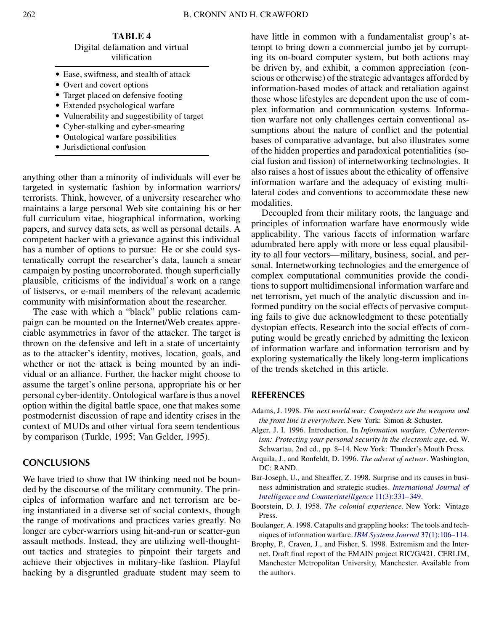**TABLE 4** Digital defamation and virtual vilification

- Ease, swiftness, and stealth of attack
- Overt and covert options
- Target placed on defensive footing
- Extended psychological warfare
- ² Vulnerability and suggestibility of target
- Cyber-stalking and cyber-smearing
- Ontological warfare possibilities
- Jurisdictional confusion

anything other than a minority of individuals will ever be targeted in systematic fashion by information warriors/ terrorists. Think, however, of a university researcher who maintains a large personal Web site containing his or her full curriculum vitae, biographical information, working papers, and survey data sets, as well as personal details. A competent hacker with a grievance against this individual has a number of options to pursue: He or she could systematically corrupt the researcher's data, launch a smear campaign by posting uncorroborated, though superficially plausible, criticisms of the individual's work on a range of listservs, or e-mail members of the relevant academic community with misinformation about the researcher.

The ease with which a "black" public relations campaign can be mounted on the Internet/Web creates appreciable asymmetries in favor of the attacker. The target is thrown on the defensive and left in a state of uncertainty as to the attacker's identity, motives, location, goals, and whether or not the attack is being mounted by an individual or an alliance. Further, the hacker might choose to assume the target's online persona, appropriate his or her personal cyber-identity. Ontological warfare isthus a novel option within the digital battle space, one that makes some postmodernist discussion of rape and identity crises in the context of MUDs and other virtual fora seem tendentious by comparison (Turkle, 1995; Van Gelder, 1995).

#### **CONCLUSIONS**

We have tried to show that IW thinking need not be bounded by the discourse of the military community. The principles of information warfare and net terrorism are being instantiated in a diverse set of social contexts, though the range of motivations and practices varies greatly. No longer are cyber-warriors using hit-and-run or scatter-gun assault methods. Instead, they are utilizing well-thoughtout tactics and strategies to pinpoint their targets and achieve their objectives in military-like fashion. Playful hacking by a disgruntled graduate student may seem to have little in common with a fundamentalist group's attempt to bring down a commercial jumbo jet by corrupting its on-board computer system, but both actions may be driven by, and exhibit, a common appreciation (conscious or otherwise) of the strategic advantages afforded by information-based modes of attack and retaliation against those whose lifestyles are dependent upon the use of complex information and communication systems. Information warfare not only challenges certain conventional assumptions about the nature of conflict and the potential bases of comparative advantage, but also illustrates some of the hidden properties and paradoxical potentialities (social fusion and fission) of internetworking technologies. It also raises a host of issues about the ethicality of offensive information warfare and the adequacy of existing multilateral codes and conventions to accommodate these new modalities.

Decoupled from their military roots, the language and principles of information warfare have enormously wide applicability. The various facets of information warfare adumbrated here apply with more or less equal plausibility to all four vectors—military, business, social, and personal. Internetworking technologies and the emergence of complex computational communities provide the conditions to support multidimensional information warfare and net terrorism, yet much of the analytic discussion and informed punditry on the social effects of pervasive computing fails to give due acknowledgment to these potentially dystopian effects. Research into the social effects of computing would be greatly enriched by admitting the lexicon of information warfare and information terrorism and by exploring systematically the likely long-term implications of the trends sketched in this article.

#### **REFERENCES**

- Adams, J. 1998. *The next world war: Computers are the weapons and the front line is everywhere*. New York: Simon & Schuster.
- Alger, J. I. 1996. Introduction. In *Information warfare. Cyberterrorism: Protecting your personal security in the electronic age*, ed. W. Schwartau, 2nd ed., pp. 8–14. New York: Thunder's Mouth Press.
- Arquila, J., and Ronfeldt, D. 1996. *The advent of netwar*. Washington, DC: RAND.
- Bar-Joseph, U., and Sheaffer, Z. 1998. Surprise and its causes in busi ness administration and strategic studies. *[International](http://fidelio.catchword.com/nw=1/rpsv/0885-0607^28^2911:3L.331) Journal of Intelligence and [Counterintelligence](http://fidelio.catchword.com/nw=1/rpsv/0885-0607^28^2911:3L.331)* 11(3):331–349.
- Boorstein, D. J. 1958. *The colonial experience*. New York: Vintage Press.
- Boulanger, A. 1998. Catapults and grappling hooks: The tools and techniques of information warfare.*IBM Systems Journal* [37\(1\):106–114.](http://fidelio.catchword.com/nw=1/rpsv/0018-8670^28^2937:1L.106[csa=0018-8670^26vol=37^26iss=1^26firstpage=106])
- Brophy, P., Craven, J., and Fisher, S. 1998. Extremism and the Internet. Draft final report of the EMAIN project RIC/G/421. CERLIM, Manchester Metropolitan University, Manchester. Available from the authors.